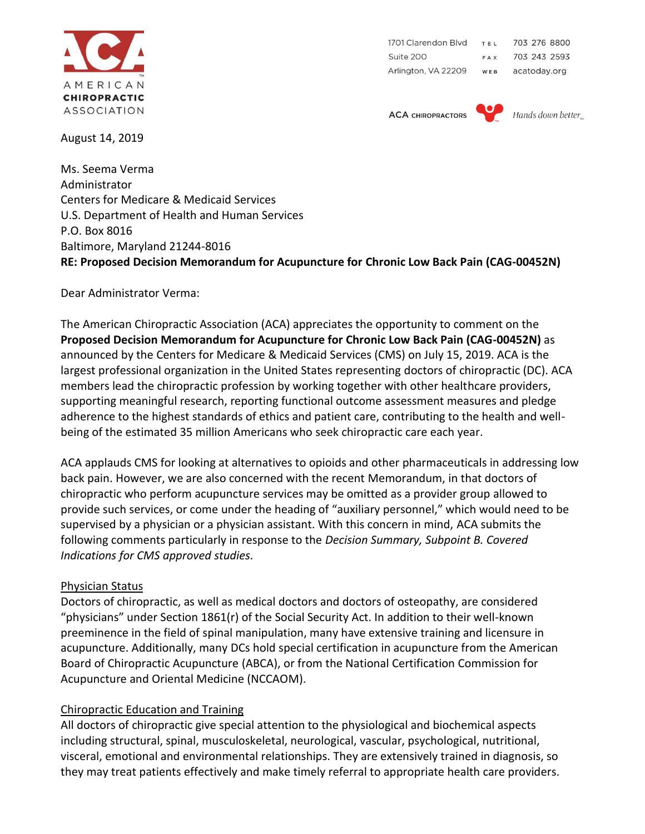

August 14, 2019

703 276 8800 1701 Clarendon Blvd TEL Suite 200 703 243 2593 FAX Arlington, VA 22209 WEB acatoday.org

**ACA CHIROPRACTORS** 



Hands down better.

Ms. Seema Verma Administrator Centers for Medicare & Medicaid Services U.S. Department of Health and Human Services P.O. Box 8016 Baltimore, Maryland 21244-8016 **RE: Proposed Decision Memorandum for Acupuncture for Chronic Low Back Pain (CAG-00452N)**

Dear Administrator Verma:

The American Chiropractic Association (ACA) appreciates the opportunity to comment on the **Proposed Decision Memorandum for Acupuncture for Chronic Low Back Pain (CAG-00452N)** as announced by the Centers for Medicare & Medicaid Services (CMS) on July 15, 2019. ACA is the largest professional organization in the United States representing doctors of chiropractic (DC). ACA members lead the chiropractic profession by working together with other healthcare providers, supporting meaningful research, reporting functional outcome assessment measures and pledge adherence to the highest standards of ethics and patient care, contributing to the health and wellbeing of the estimated 35 million Americans who seek chiropractic care each year.

ACA applauds CMS for looking at alternatives to opioids and other pharmaceuticals in addressing low back pain. However, we are also concerned with the recent Memorandum, in that doctors of chiropractic who perform acupuncture services may be omitted as a provider group allowed to provide such services, or come under the heading of "auxiliary personnel," which would need to be supervised by a physician or a physician assistant. With this concern in mind, ACA submits the following comments particularly in response to the *Decision Summary, Subpoint B. Covered Indications for CMS approved studies.*

## Physician Status

Doctors of chiropractic, as well as medical doctors and doctors of osteopathy, are considered "physicians" under Section 1861(r) of the Social Security Act. In addition to their well-known preeminence in the field of spinal manipulation, many have extensive training and licensure in acupuncture. Additionally, many DCs hold special certification in acupuncture from the American Board of Chiropractic Acupuncture (ABCA), or from the National Certification Commission for Acupuncture and Oriental Medicine (NCCAOM).

## Chiropractic Education and Training

All doctors of chiropractic give special attention to the physiological and biochemical aspects including structural, spinal, musculoskeletal, neurological, vascular, psychological, nutritional, visceral, emotional and environmental relationships. They are extensively trained in diagnosis, so they may treat patients effectively and make timely referral to appropriate health care providers.